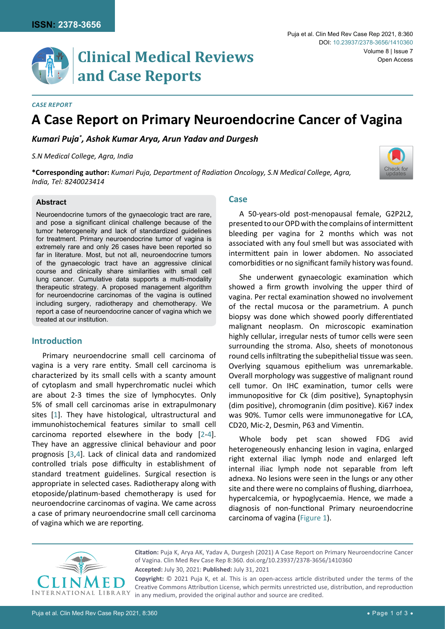[Check for](http://crossmark.crossref.org/dialog/?doi=10.23937/2378-3656/1410360&domain=pdf) updates

# **Clinical Medical Reviews and Case Reports**

#### *Case Report*

# **A Case Report on Primary Neuroendocrine Cancer of Vagina**

*Kumari Puja\* , Ashok Kumar Arya, Arun Yadav and Durgesh*

*S.N Medical College, Agra, India*

**\*Corresponding author:** *Kumari Puja, Department of Radiation Oncology, S.N Medical College, Agra, India, Tel: 8240023414*

### **Abstract**

Neuroendocrine tumors of the gynaecologic tract are rare, and pose a significant clinical challenge because of the tumor heterogeneity and lack of standardized guidelines for treatment. Primary neuroendocrine tumor of vagina is extremely rare and only 26 cases have been reported so far in literature. Most, but not all, neuroendocrine tumors of the gynaecologic tract have an aggressive clinical course and clinically share similarities with small cell lung cancer. Cumulative data supports a multi-modality therapeutic strategy. A proposed management algorithm for neuroendocrine carcinomas of the vagina is outlined including surgery, radiotherapy and chemotherapy. We report a case of neuroendocrine cancer of vagina which we treated at our institution.

# **Introduction**

Primary neuroendocrine small cell carcinoma of vagina is a very rare entity. Small cell carcinoma is characterized by its small cells with a scanty amount of cytoplasm and small hyperchromatic nuclei which are about 2-3 times the size of lymphocytes. Only 5% of small cell carcinomas arise in extrapulmonary sites [[1](#page-2-0)]. They have histological, ultrastructural and immunohistochemical features similar to small cell carcinoma reported elsewhere in the body [[2](#page-2-1)[-4\]](#page-2-2). They have an aggressive clinical behaviour and poor prognosis [[3](#page-2-3),[4](#page-2-2)]. Lack of clinical data and randomized controlled trials pose difficulty in establishment of standard treatment guidelines. Surgical resection is appropriate in selected cases. Radiotherapy along with etoposide/platinum-based chemotherapy is used for neuroendocrine carcinomas of vagina. We came across a case of primary neuroendocrine small cell carcinoma of vagina which we are reporting.

# **Case**

A 50-years-old post-menopausal female, G2P2L2, presented to our OPD with the complains of intermittent bleeding per vagina for 2 months which was not associated with any foul smell but was associated with intermittent pain in lower abdomen. No associated comorbidities or no significant family history was found.

She underwent gynaecologic examination which showed a firm growth involving the upper third of vagina. Per rectal examination showed no involvement of the rectal mucosa or the parametrium. A punch biopsy was done which showed poorly differentiated malignant neoplasm. On microscopic examination highly cellular, irregular nests of tumor cells were seen surrounding the stroma. Also, sheets of monotonous round cells infiltrating the subepithelial tissue was seen. Overlying squamous epithelium was unremarkable. Overall morphology was suggestive of malignant round cell tumor. On IHC examination, tumor cells were immunopositive for Ck (dim positive), Synaptophysin (dim positive), chromogranin (dim positive). Ki67 index was 90%. Tumor cells were immunonegative for LCA, CD20, Mic-2, Desmin, P63 and Vimentin.

Whole body pet scan showed FDG avid heterogeneously enhancing lesion in vagina, enlarged right external iliac lymph node and enlarged left internal iliac lymph node not separable from left adnexa. No lesions were seen in the lungs or any other site and there were no complains of flushing, diarrhoea, hypercalcemia, or hypoglycaemia. Hence, we made a diagnosis of non-functional Primary neuroendocrine carcinoma of vagina ([Figure 1](#page-1-0)).



**Accepted:** July 30, 2021: **Published:** July 31, 2021 **Citation:** Puja K, Arya AK, Yadav A, Durgesh (2021) A Case Report on Primary Neuroendocrine Cancer of Vagina. Clin Med Rev Case Rep 8:360. [doi.org/10.23937/2378-3656/1410360](https://doi.org/10.23937/2378-3656/1410360) **Copyright:** © 2021 Puja K, et al. This is an open-access article distributed under the terms of the

Creative Commons Attribution License, which permits unrestricted use, distribution, and reproduction in any medium, provided the original author and source are credited.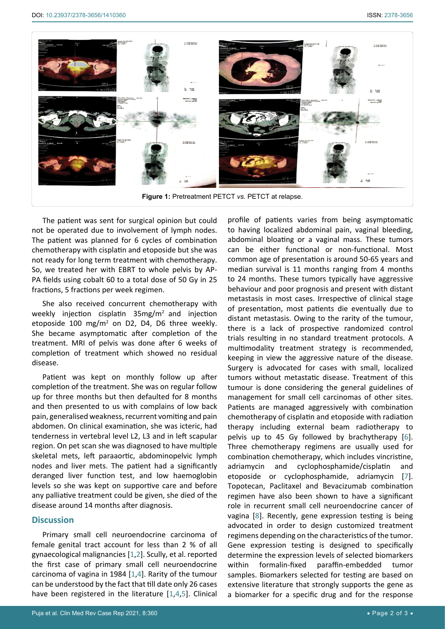<span id="page-1-0"></span>

The patient was sent for surgical opinion but could not be operated due to involvement of lymph nodes. The patient was planned for 6 cycles of combination chemotherapy with cisplatin and etoposide but she was not ready for long term treatment with chemotherapy. So, we treated her with EBRT to whole pelvis by AP-PA fields using cobalt 60 to a total dose of 50 Gy in 25 fractions, 5 fractions per week regimen.

She also received concurrent chemotherapy with weekly injection cisplatin  $35mg/m^2$  and injection etoposide 100 mg/m<sup>2</sup> on D2, D4, D6 three weekly. She became asymptomatic after completion of the treatment. MRI of pelvis was done after 6 weeks of completion of treatment which showed no residual disease.

Patient was kept on monthly follow up after completion of the treatment. She was on regular follow up for three months but then defaulted for 8 months and then presented to us with complains of low back pain, generalised weakness, recurrent vomiting and pain abdomen. On clinical examination, she was icteric, had tenderness in vertebral level L2, L3 and in left scapular region. On pet scan she was diagnosed to have multiple skeletal mets, left paraaortic, abdominopelvic lymph nodes and liver mets. The patient had a significantly deranged liver function test, and low haemoglobin levels so she was kept on supportive care and before any palliative treatment could be given, she died of the disease around 14 months after diagnosis.

## **Discussion**

Primary small cell neuroendocrine carcinoma of female genital tract account for less than 2 % of all gynaecological malignancies [\[1,](#page-2-0)[2\]](#page-2-1). Scully, et al. reported the first case of primary small cell neuroendocrine carcinoma of vagina in 1984 [\[1,](#page-2-0)[4](#page-2-2)]. Rarity of the tumour can be understood by the fact that till date only 26 cases have been registered in the literature [[1,](#page-2-0)[4](#page-2-2),[5\]](#page-2-7). Clinical

profile of patients varies from being asymptomatic to having localized abdominal pain, vaginal bleeding, abdominal bloating or a vaginal mass. These tumors can be either functional or non-functional. Most common age of presentation is around 50-65 years and median survival is 11 months ranging from 4 months to 24 months. These tumors typically have aggressive behaviour and poor prognosis and present with distant metastasis in most cases. Irrespective of clinical stage of presentation, most patients die eventually due to distant metastasis. Owing to the rarity of the tumour, there is a lack of prospective randomized control trials resulting in no standard treatment protocols. A multimodality treatment strategy is recommended, keeping in view the aggressive nature of the disease. Surgery is advocated for cases with small, localized tumors without metastatic disease. Treatment of this tumour is done considering the general guidelines of management for small cell carcinomas of other sites. Patients are managed aggressively with combination chemotherapy of cisplatin and etoposide with radiation therapy including external beam radiotherapy to pelvis up to 45 Gy followed by brachytherapy [[6\]](#page-2-4). Three chemotherapy regimens are usually used for combination chemotherapy, which includes vincristine, adriamycin and cyclophosphamide/cisplatin and etoposide or cyclophosphamide, adriamycin [\[7\]](#page-2-5). Topotecan, Paclitaxel and Bevacizumab combination regimen have also been shown to have a significant role in recurrent small cell neuroendocrine cancer of vagina [\[8](#page-2-6)]. Recently, gene expression testing is being advocated in order to design customized treatment regimens depending on the characteristics of the tumor. Gene expression testing is designed to specifically determine the expression levels of selected biomarkers within formalin-fixed paraffin-embedded tumor samples. Biomarkers selected for testing are based on extensive literature that strongly supports the gene as a biomarker for a specific drug and for the response